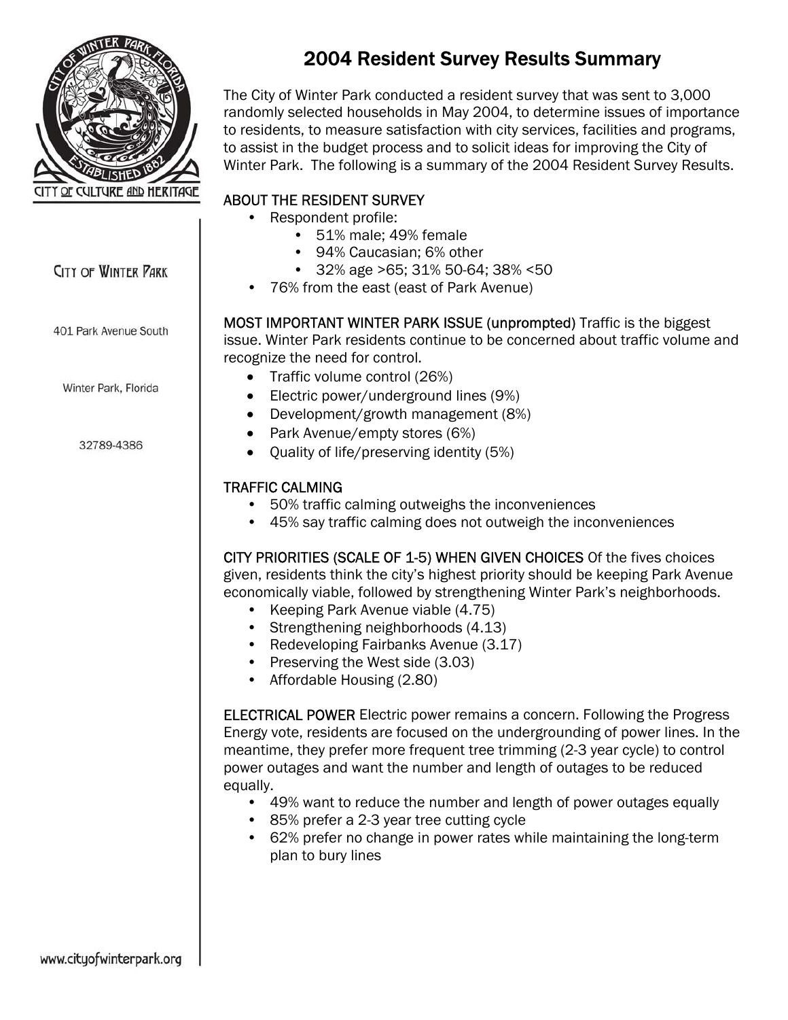

# **CITY OF WINTER PARK**

401 Park Avenue South

Winter Park, Florida

32789-4386

# 2004 Resident Survey Results Summary

The City of Winter Park conducted a resident survey that was sent to 3,000 randomly selected households in May 2004, to determine issues of importance to residents, to measure satisfaction with city services, facilities and programs, to assist in the budget process and to solicit ideas for improving the City of Winter Park. The following is a summary of the 2004 Resident Survey Results.

## ABOUT THE RESIDENT SURVEY

- Respondent profile:
	- 51% male; 49% female
	- 94% Caucasian; 6% other
	- 32% age >65; 31% 50-64; 38% <50
	- 76% from the east (east of Park Avenue)

MOST IMPORTANT WINTER PARK ISSUE (unprompted) Traffic is the biggest issue. Winter Park residents continue to be concerned about traffic volume and recognize the need for control.

- Traffic volume control (26%)
- Electric power/underground lines (9%)
- Development/growth management (8%)
- Park Avenue/empty stores (6%)
- Quality of life/preserving identity (5%)

## TRAFFIC CALMING

- 50% traffic calming outweighs the inconveniences
- 45% say traffic calming does not outweigh the inconveniences

CITY PRIORITIES (SCALE OF 1-5) WHEN GIVEN CHOICES Of the fives choices given, residents think the city's highest priority should be keeping Park Avenue economically viable, followed by strengthening Winter Park's neighborhoods.

- Keeping Park Avenue viable (4.75)
- Strengthening neighborhoods (4.13)
- Redeveloping Fairbanks Avenue (3.17)
- Preserving the West side (3.03)
- Affordable Housing (2.80)

ELECTRICAL POWER Electric power remains a concern. Following the Progress Energy vote, residents are focused on the undergrounding of power lines. In the meantime, they prefer more frequent tree trimming (2-3 year cycle) to control power outages and want the number and length of outages to be reduced equally.

- 49% want to reduce the number and length of power outages equally
- 85% prefer a 2-3 year tree cutting cycle
- 62% prefer no change in power rates while maintaining the long-term plan to bury lines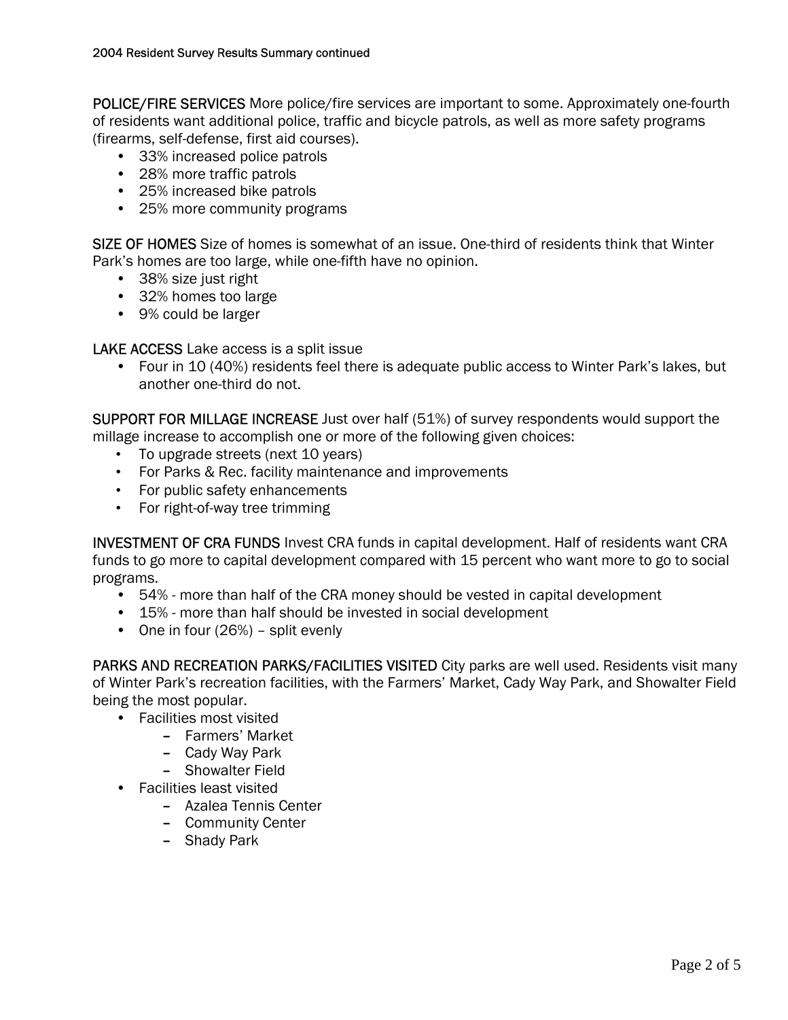POLICE/FIRE SERVICES More police/fire services are important to some. Approximately one-fourth of residents want additional police, traffic and bicycle patrols, as well as more safety programs (firearms, self-defense, first aid courses).

- 33% increased police patrols
- 28% more traffic patrols
- 25% increased bike patrols
- 25% more community programs

SIZE OF HOMES Size of homes is somewhat of an issue. One-third of residents think that Winter Park's homes are too large, while one-fifth have no opinion.

- 38% size just right
- 32% homes too large
- 9% could be larger

LAKE ACCESS Lake access is a split issue

• Four in 10 (40%) residents feel there is adequate public access to Winter Park's lakes, but another one-third do not.

SUPPORT FOR MILLAGE INCREASE Just over half (51%) of survey respondents would support the millage increase to accomplish one or more of the following given choices:

- To upgrade streets (next 10 years)
- For Parks & Rec. facility maintenance and improvements
- For public safety enhancements
- For right-of-way tree trimming

INVESTMENT OF CRA FUNDS Invest CRA funds in capital development. Half of residents want CRA funds to go more to capital development compared with 15 percent who want more to go to social programs.

- 54% more than half of the CRA money should be vested in capital development
- 15% more than half should be invested in social development
- One in four (26%) split evenly

PARKS AND RECREATION PARKS/FACILITIES VISITED City parks are well used. Residents visit many of Winter Park's recreation facilities, with the Farmers' Market, Cady Way Park, and Showalter Field being the most popular.

- Facilities most visited
	- Farmers' Market
	- Cady Way Park
	- Showalter Field
- Facilities least visited
	- Azalea Tennis Center
	- Community Center
	- Shady Park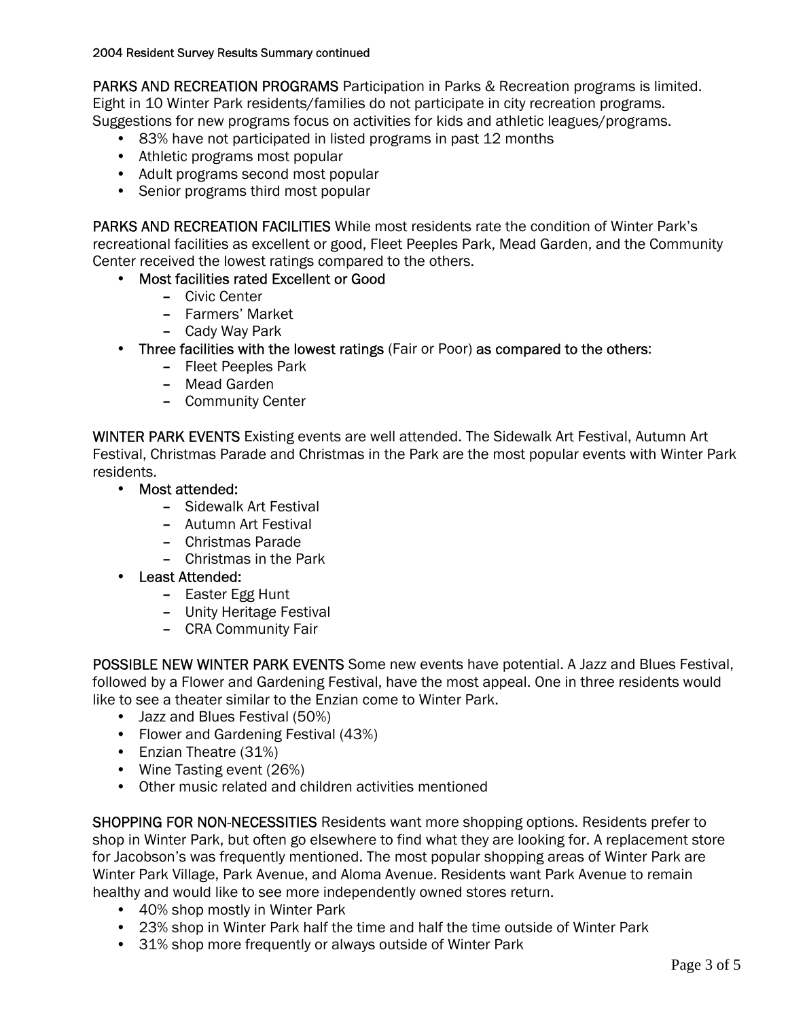PARKS AND RECREATION PROGRAMS Participation in Parks & Recreation programs is limited. Eight in 10 Winter Park residents/families do not participate in city recreation programs. Suggestions for new programs focus on activities for kids and athletic leagues/programs.

- 83% have not participated in listed programs in past 12 months
- Athletic programs most popular
- Adult programs second most popular
- Senior programs third most popular

PARKS AND RECREATION FACILITIES While most residents rate the condition of Winter Park's recreational facilities as excellent or good, Fleet Peeples Park, Mead Garden, and the Community Center received the lowest ratings compared to the others.

- Most facilities rated Excellent or Good
	- Civic Center
	- Farmers' Market
	- Cady Way Park
- Three facilities with the lowest ratings (Fair or Poor) as compared to the others:
	- Fleet Peeples Park
	- Mead Garden
	- Community Center

WINTER PARK EVENTS Existing events are well attended. The Sidewalk Art Festival, Autumn Art Festival, Christmas Parade and Christmas in the Park are the most popular events with Winter Park residents.

- Most attended:
	- Sidewalk Art Festival
	- Autumn Art Festival
	- Christmas Parade
	- Christmas in the Park
- Least Attended:
	- Easter Egg Hunt
	- Unity Heritage Festival
	- CRA Community Fair

POSSIBLE NEW WINTER PARK EVENTS Some new events have potential. A Jazz and Blues Festival, followed by a Flower and Gardening Festival, have the most appeal. One in three residents would like to see a theater similar to the Enzian come to Winter Park.

- Jazz and Blues Festival (50%)
- Flower and Gardening Festival (43%)
- Enzian Theatre (31%)
- Wine Tasting event (26%)
- Other music related and children activities mentioned

SHOPPING FOR NON-NECESSITIES Residents want more shopping options. Residents prefer to shop in Winter Park, but often go elsewhere to find what they are looking for. A replacement store for Jacobson's was frequently mentioned. The most popular shopping areas of Winter Park are Winter Park Village, Park Avenue, and Aloma Avenue. Residents want Park Avenue to remain healthy and would like to see more independently owned stores return.

- 40% shop mostly in Winter Park
- 23% shop in Winter Park half the time and half the time outside of Winter Park
- 31% shop more frequently or always outside of Winter Park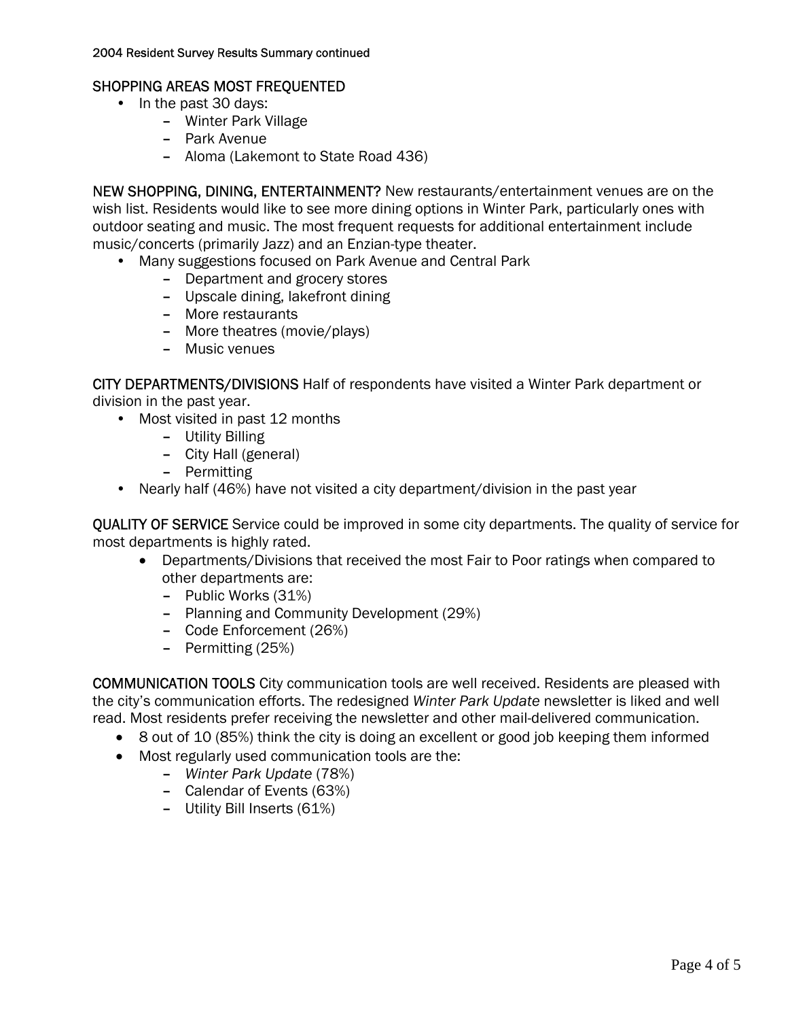#### SHOPPING AREAS MOST FREQUENTED

- In the past 30 days:
	- Winter Park Village
	- Park Avenue
	- Aloma (Lakemont to State Road 436)

NEW SHOPPING, DINING, ENTERTAINMENT? New restaurants/entertainment venues are on the wish list. Residents would like to see more dining options in Winter Park, particularly ones with outdoor seating and music. The most frequent requests for additional entertainment include music/concerts (primarily Jazz) and an Enzian-type theater.

- Many suggestions focused on Park Avenue and Central Park
	- Department and grocery stores
	- Upscale dining, lakefront dining
	- More restaurants
	- More theatres (movie/plays)
	- Music venues

CITY DEPARTMENTS/DIVISIONS Half of respondents have visited a Winter Park department or division in the past year.

- Most visited in past 12 months
	- Utility Billing
	- City Hall (general)
	- Permitting
- Nearly half (46%) have not visited a city department/division in the past year

QUALITY OF SERVICE Service could be improved in some city departments. The quality of service for most departments is highly rated.

- Departments/Divisions that received the most Fair to Poor ratings when compared to other departments are:
	- Public Works (31%)
	- Planning and Community Development (29%)
	- Code Enforcement (26%)
	- Permitting (25%)

COMMUNICATION TOOLS City communication tools are well received. Residents are pleased with the city's communication efforts. The redesigned *Winter Park Update* newsletter is liked and well read. Most residents prefer receiving the newsletter and other mail-delivered communication.

- 8 out of 10 (85%) think the city is doing an excellent or good job keeping them informed
- Most regularly used communication tools are the:
	- *Winter Park Update* (78%)
	- Calendar of Events (63%)
	- Utility Bill Inserts (61%)